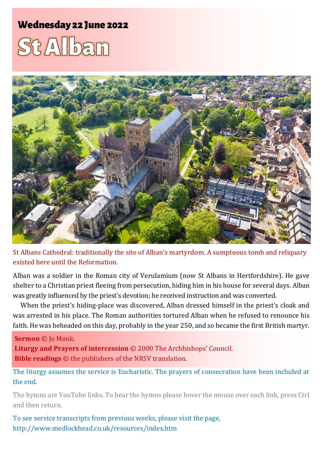## **Wednesday 22 June 2022**

# $St/2$ lbam



St Albans Cathedral: traditionally the site of Alban's martyrdom. A sumptuous tomb and reliquary existed here until the Reformation.

Alban was a soldier in the Roman city of Verulamium (now St Albans in Hertfordshire). He gave shelter to a Christian priest fleeing from persecution, hiding him in his house for several days. Alban was greatly influenced by the priest's devotion; he received instruction and was converted.

When the priest's hiding-place was discovered, Alban dressed himself in the priest's cloak and was arrested in his place. The Roman authorities tortured Alban when he refused to renounce his faith. He was beheaded on this day, probably in the year 250, and so became the first British martyr.

#### **Sermon** © Jo Monk.

**Liturgy and Prayers of intercession** © 2000 The Archbishops' Council. **Bible readings** © the publishers of the NRSV translation.

The liturgy assumes the service is Eucharistic. The prayers of consecration have been included at the end.

The hymns are YouTube links. To hear the hymns please hover the mouse over each link, press Ctrl and then return.

To see service transcripts from previous weeks, please visit the page, <http://www.medlockhead.co.uk/resources/index.htm>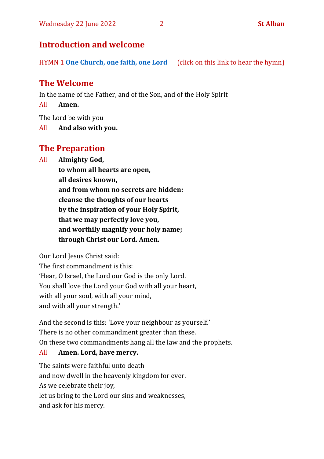#### **Introduction and welcome**

HYMN 1 **[One Church, one faith, one Lord](https://www.youtube.com/watch?v=esJ7WWqG-dI&t=28s)** (click on this link to hear the hymn)

#### **The Welcome**

In the name of the Father, and of the Son, and of the Holy Spirit

All **Amen.**

The Lord be with you

All **And also with you.**

#### **The Preparation**

All **Almighty God,**

**to whom all hearts are open, all desires known, and from whom no secrets are hidden: cleanse the thoughts of our hearts by the inspiration of your Holy Spirit, that we may perfectly love you, and worthily magnify your holy name; through Christ our Lord. Amen.**

Our Lord Jesus Christ said:

The first commandment is this: 'Hear, O Israel, the Lord our God is the only Lord. You shall love the Lord your God with all your heart, with all your soul, with all your mind, and with all your strength.'

And the second is this: 'Love your neighbour as yourself.' There is no other commandment greater than these. On these two commandments hang all the law and the prophets.

#### All **Amen. Lord, have mercy.**

The saints were faithful unto death and now dwell in the heavenly kingdom for ever. As we celebrate their joy, let us bring to the Lord our sins and weaknesses, and ask for his mercy.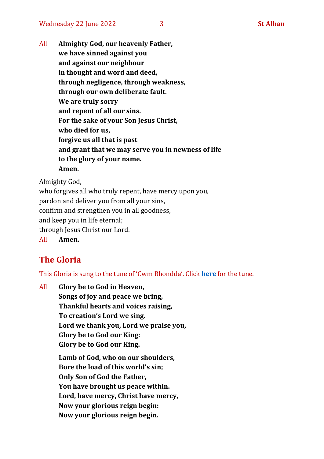All **Almighty God, our heavenly Father, we have sinned against you and against our neighbour in thought and word and deed, through negligence, through weakness, through our own deliberate fault. We are truly sorry and repent of all our sins. For the sake of your Son Jesus Christ, who died for us, forgive us all that is past and grant that we may serve you in newness of life to the glory of your name. Amen.**

Almighty God,

who forgives all who truly repent, have mercy upon you, pardon and deliver you from all your sins, confirm and strengthen you in all goodness, and keep you in life eternal; through Jesus Christ our Lord. All **Amen.**

### **The Gloria**

This Gloria is sung to the tune of 'Cwm Rhondda'. Click **[here](https://www.youtube.com/watch?v=l71MLQ22dIk)** for the tune.

All **Glory be to God in Heaven, Songs of joy and peace we bring, Thankful hearts and voices raising, To creation's Lord we sing. Lord we thank you, Lord we praise you, Glory be to God our King: Glory be to God our King. Lamb of God, who on our shoulders, Bore the load of this world's sin; Only Son of God the Father, You have brought us peace within. Lord, have mercy, Christ have mercy, Now your glorious reign begin: Now your glorious reign begin.**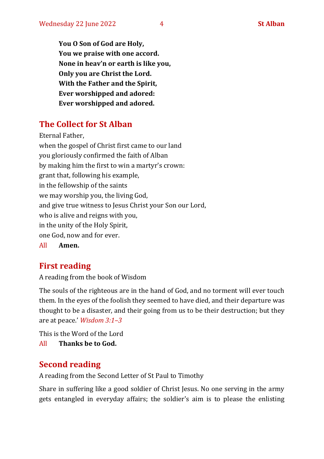**You O Son of God are Holy, You we praise with one accord. None in heav'n or earth is like you, Only you are Christ the Lord. With the Father and the Spirit, Ever worshipped and adored: Ever worshipped and adored.**

### **The Collect for St Alban**

Eternal Father, when the gospel of Christ first came to our land you gloriously confirmed the faith of Alban by making him the first to win a martyr's crown: grant that, following his example, in the fellowship of the saints we may worship you, the living God, and give true witness to Jesus Christ your Son our Lord, who is alive and reigns with you, in the unity of the Holy Spirit, one God, now and for ever.

All **Amen.**

#### **First reading**

A reading from the book of Wisdom

The souls of the righteous are in the hand of God, and no torment will ever touch them. In the eyes of the foolish they seemed to have died, and their departure was thought to be a disaster, and their going from us to be their destruction; but they are at peace.' *Wisdom 3:1–3* 

This is the Word of the Lord All **Thanks be to God.**

#### **Second reading**

A reading from the Second Letter of St Paul to Timothy

Share in suffering like a good soldier of Christ Jesus. No one serving in the army gets entangled in everyday affairs; the soldier's aim is to please the enlisting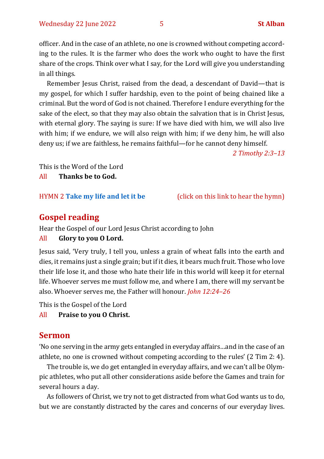officer. And in the case of an athlete, no one is crowned without competing according to the rules. It is the farmer who does the work who ought to have the first share of the crops. Think over what I say, for the Lord will give you understanding in all things.

Remember Jesus Christ, raised from the dead, a descendant of David—that is my gospel, for which I suffer hardship, even to the point of being chained like a criminal. But the word of God is not chained. Therefore I endure everything for the sake of the elect, so that they may also obtain the salvation that is in Christ Jesus, with eternal glory. The saying is sure: If we have died with him, we will also live with him; if we endure, we will also reign with him; if we deny him, he will also deny us; if we are faithless, he remains faithful—for he cannot deny himself.

*2 Timothy 2:3–13*

This is the Word of the Lord

All **Thanks be to God.**

HYMN 2 **[Take my life and let it be](https://www.youtube.com/watch?v=Gf11rReeWIs)** (click on this link to hear the hymn)

#### **Gospel reading**

Hear the Gospel of our Lord Jesus Christ according to John

#### All **Glory to you O Lord.**

Jesus said, 'Very truly, I tell you, unless a grain of wheat falls into the earth and dies, it remains just a single grain; but if it dies, it bears much fruit. Those who love their life lose it, and those who hate their life in this world will keep it for eternal life. Whoever serves me must follow me, and where I am, there will my servant be also. Whoever serves me, the Father will honour. *John 12:24–26*

This is the Gospel of the Lord

#### All **Praise to you O Christ.**

#### **Sermon**

'No one serving in the army gets entangled in everyday affairs…and in the case of an athlete, no one is crowned without competing according to the rules' (2 Tim 2: 4).

The trouble is, we do get entangled in everyday affairs, and we can't all be Olympic athletes, who put all other considerations aside before the Games and train for several hours a day.

As followers of Christ, we try not to get distracted from what God wants us to do, but we are constantly distracted by the cares and concerns of our everyday lives.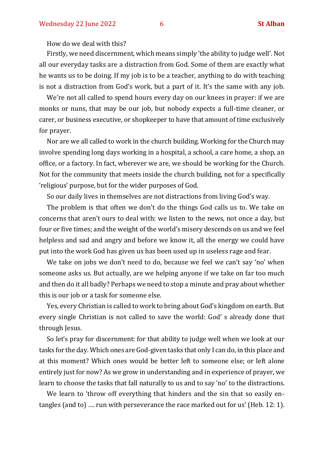How do we deal with this?

Firstly, we need discernment, which means simply 'the ability to judge well'. Not all our everyday tasks are a distraction from God. Some of them are exactly what he wants us to be doing. If my job is to be a teacher, anything to do with teaching is not a distraction from God's work, but a part of it. It's the same with any job.

We're not all called to spend hours every day on our knees in prayer: if we are monks or nuns, that may be our job, but nobody expects a full-time cleaner, or carer, or business executive, or shopkeeper to have that amount of time exclusively for prayer.

Nor are we all called to work in the church building. Working for the Church may involve spending long days working in a hospital, a school, a care home, a shop, an office, or a factory. In fact, wherever we are, we should be working for the Church. Not for the community that meets inside the church building, not for a specifically 'religious' purpose, but for the wider purposes of God.

So our daily lives in themselves are not distractions from living God's way.

The problem is that often we don't do the things God calls us to. We take on concerns that aren't ours to deal with: we listen to the news, not once a day, but four or five times; and the weight of the world's misery descends on us and we feel helpless and sad and angry and before we know it, all the energy we could have put into the work God has given us has been used up in useless rage and fear.

We take on jobs we don't need to do, because we feel we can't say 'no' when someone asks us. But actually, are we helping anyone if we take on far too much and then do it all badly? Perhaps we need to stop a minute and pray about whether this is our job or a task for someone else.

Yes, every Christian is called to work to bring about God's kingdom on earth. But every single Christian is not called to save the world: God' s already done that through Jesus.

So let's pray for discernment: for that ability to judge well when we look at our tasks for the day. Which ones are God-given tasks that only I can do, in this place and at this moment? Which ones would be better left to someone else; or left alone entirely just for now? As we grow in understanding and in experience of prayer, we learn to choose the tasks that fall naturally to us and to say 'no' to the distractions.

We learn to 'throw off everything that hinders and the sin that so easily entangles (and to) …. run with perseverance the race marked out for us' (Heb. 12: 1).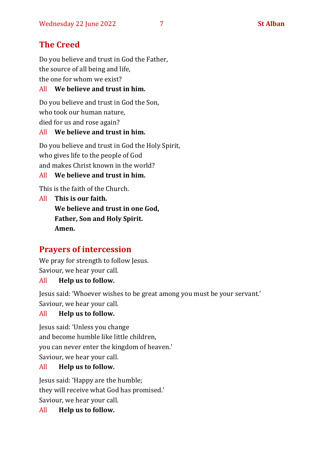## **The Creed**

Do you believe and trust in God the Father, the source of all being and life, the one for whom we exist?

#### All **We believe and trust in him.**

Do you believe and trust in God the Son, who took our human nature, died for us and rose again?

#### All **We believe and trust in him.**

Do you believe and trust in God the Holy Spirit, who gives life to the people of God and makes Christ known in the world?

#### All **We believe and trust in him.**

This is the faith of the Church.

All **This is our faith. We believe and trust in one God, Father, Son and Holy Spirit. Amen.**

### **Prayers of intercession**

We pray for strength to follow Jesus. Saviour, we hear your call.

#### All **Help us to follow.**

Jesus said: 'Whoever wishes to be great among you must be your servant.' Saviour, we hear your call.

#### All **Help us to follow.**

Jesus said: 'Unless you change and become humble like little children, you can never enter the kingdom of heaven.' Saviour, we hear your call.

#### All **Help us to follow.**

Jesus said: 'Happy are the humble; they will receive what God has promised.' Saviour, we hear your call.

All **Help us to follow.**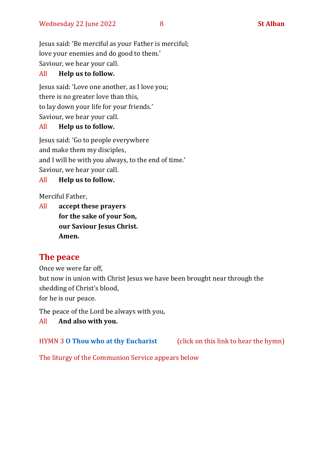Jesus said: 'Be merciful as your Father is merciful; love your enemies and do good to them.' Saviour, we hear your call.

#### All **Help us to follow.**

Jesus said: 'Love one another, as I love you; there is no greater love than this, to lay down your life for your friends.' Saviour, we hear your call.

#### All **Help us to follow.**

Jesus said: 'Go to people everywhere and make them my disciples, and I will be with you always, to the end of time.' Saviour, we hear your call.

#### All **Help us to follow.**

Merciful Father,

All **accept these prayers for the sake of your Son, our Saviour Jesus Christ. Amen.**

#### **The peace**

Once we were far off, but now in union with Christ Jesus we have been brought near through the shedding of Christ's blood, for he is our peace.

The peace of the Lord be always with you,

#### All **And also with you.**

HYMN 3 **[O Thou who at thy Eucharist](https://www.youtube.com/watch?v=u4FERL8Xeno)** (click on this link to hear the hymn)

The liturgy of the Communion Service appears below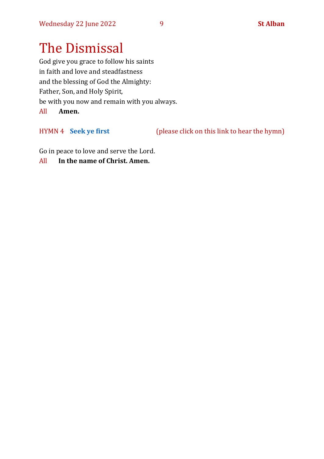# The Dismissal

God give you grace to follow his saints in faith and love and steadfastness and the blessing of God the Almighty: Father, Son, and Holy Spirit, be with you now and remain with you always. All **Amen.**

HYMN 4 **[Seek ye first](https://www.youtube.com/watch?v=94I07YCeqBs)** (please click on this link to hear the hymn)

Go in peace to love and serve the Lord.

All **In the name of Christ. Amen.**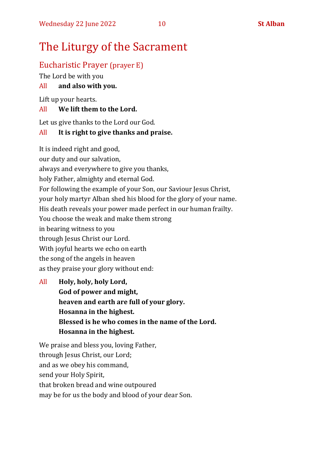# The Liturgy of the Sacrament

#### Eucharistic Prayer (prayer E)

The Lord be with you

#### All **and also with you.**

Lift up your hearts.

#### All **We lift them to the Lord.**

Let us give thanks to the Lord our God.

#### All **It is right to give thanks and praise.**

It is indeed right and good,

our duty and our salvation,

always and everywhere to give you thanks,

holy Father, almighty and eternal God.

For following the example of your Son, our Saviour Jesus Christ,

your holy martyr Alban shed his blood for the glory of your name.

His death reveals your power made perfect in our human frailty.

You choose the weak and make them strong

in bearing witness to you

through Jesus Christ our Lord.

With joyful hearts we echo on earth

the song of the angels in heaven

as they praise your glory without end:

All **Holy, holy, holy Lord, God of power and might, heaven and earth are full of your glory. Hosanna in the highest. Blessed is he who comes in the name of the Lord. Hosanna in the highest.**

We praise and bless you, loving Father, through Jesus Christ, our Lord; and as we obey his command, send your Holy Spirit, that broken bread and wine outpoured may be for us the body and blood of your dear Son.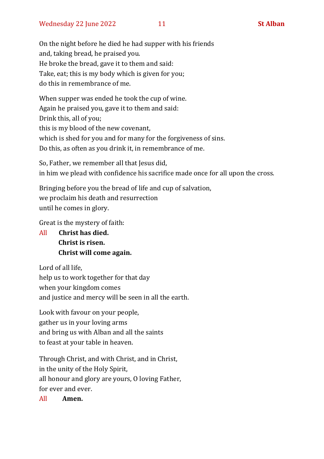On the night before he died he had supper with his friends and, taking bread, he praised you. He broke the bread, gave it to them and said: Take, eat; this is my body which is given for you; do this in remembrance of me.

When supper was ended he took the cup of wine. Again he praised you, gave it to them and said: Drink this, all of you; this is my blood of the new covenant, which is shed for you and for many for the forgiveness of sins. Do this, as often as you drink it, in remembrance of me.

So, Father, we remember all that Jesus did, in him we plead with confidence his sacrifice made once for all upon the cross.

Bringing before you the bread of life and cup of salvation, we proclaim his death and resurrection until he comes in glory.

Great is the mystery of faith:

All **Christ has died. Christ is risen. Christ will come again.**

Lord of all life, help us to work together for that day when your kingdom comes and justice and mercy will be seen in all the earth.

Look with favour on your people, gather us in your loving arms and bring us with Alban and all the saints to feast at your table in heaven.

Through Christ, and with Christ, and in Christ, in the unity of the Holy Spirit, all honour and glory are yours, O loving Father, for ever and ever.

All **Amen.**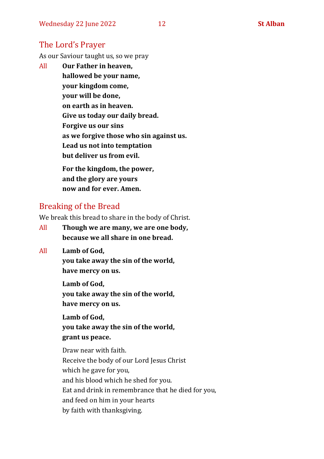#### The Lord's Prayer

As our Saviour taught us, so we pray

All **Our Father in heaven, hallowed be your name, your kingdom come, your will be done, on earth as in heaven. Give us today our daily bread. Forgive us our sins as we forgive those who sin against us. Lead us not into temptation but deliver us from evil. For the kingdom, the power,** 

**and the glory are yours now and for ever. Amen.**

#### Breaking of the Bread

We break this bread to share in the body of Christ.

- All **Though we are many, we are one body, because we all share in one bread.**
- All **Lamb of God,**

**you take away the sin of the world, have mercy on us.**

**Lamb of God, you take away the sin of the world, have mercy on us.**

**Lamb of God, you take away the sin of the world, grant us peace.**

Draw near with faith. Receive the body of our Lord Jesus Christ which he gave for you, and his blood which he shed for you. Eat and drink in remembrance that he died for you, and feed on him in your hearts by faith with thanksgiving.